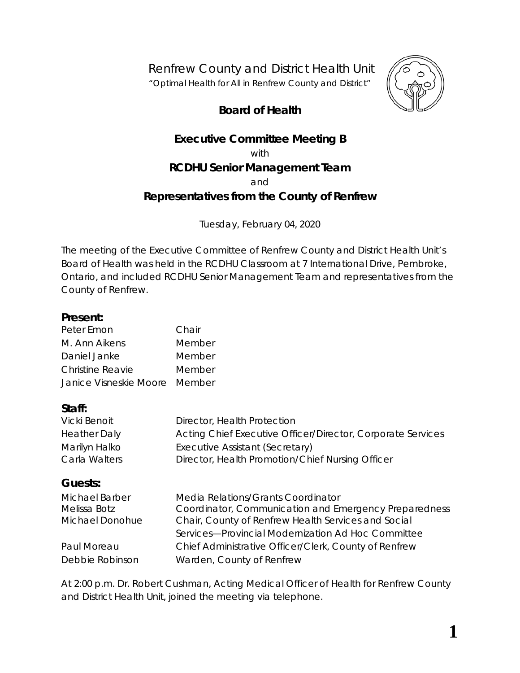Renfrew County and District Health Unit

*"Optimal Health for All in Renfrew County and District"*

# **Board of Health**



# **Executive Committee Meeting B**

with

# **RCDHU Senior Management Team**

and

## **Representatives from the County of Renfrew**

Tuesday, February 04, 2020

The meeting of the Executive Committee of Renfrew County and District Health Unit's Board of Health was held in the RCDHU Classroom at 7 International Drive, Pembroke, Ontario, and included RCDHU Senior Management Team and representatives from the County of Renfrew.

#### **Present:**

| Peter Emon                    | Chair  |
|-------------------------------|--------|
| M. Ann Aikens                 | Member |
| Daniel Janke                  | Member |
| Christine Reavie              | Member |
| Janice Visneskie Moore Member |        |

#### **Staff:**

| Vicki Benoit        | Director, Health Protection                                 |
|---------------------|-------------------------------------------------------------|
| <b>Heather Daly</b> | Acting Chief Executive Officer/Director, Corporate Services |
| Marilyn Halko       | Executive Assistant (Secretary)                             |
| Carla Walters       | Director, Health Promotion/Chief Nursing Officer            |

## **Guests:**

| <b>Michael Barber</b> | Media Relations/Grants Coordinator                    |
|-----------------------|-------------------------------------------------------|
| Melissa Botz          | Coordinator, Communication and Emergency Preparedness |
| Michael Donohue       | Chair, County of Renfrew Health Services and Social   |
|                       | Services-Provincial Modernization Ad Hoc Committee    |
| Paul Moreau           | Chief Administrative Officer/Clerk, County of Renfrew |
| Debbie Robinson       | Warden, County of Renfrew                             |

At 2:00 p.m. Dr. Robert Cushman, Acting Medical Officer of Health for Renfrew County and District Health Unit, joined the meeting via telephone.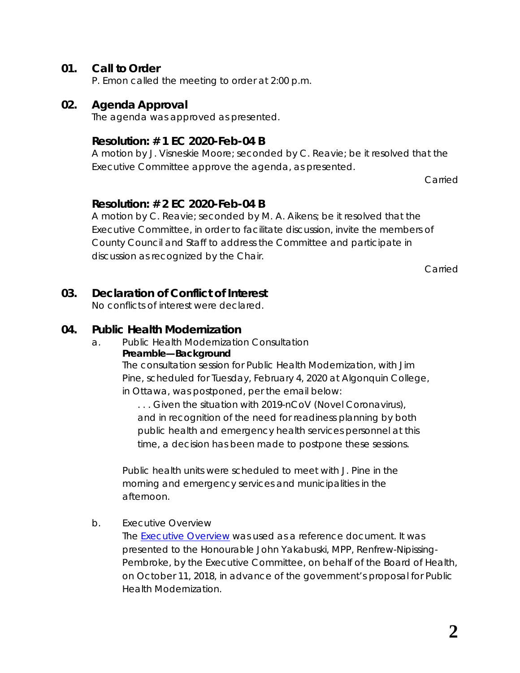## **01. Call to Order**

P. Emon called the meeting to order at 2:00 p.m.

#### **02. Agenda Approval**

The agenda was approved as presented.

#### **Resolution: # 1 EC 2020-Feb-04 B**

A motion by J. Visneskie Moore; seconded by C. Reavie; be it resolved that the Executive Committee approve the agenda, as presented.

Carried

## **Resolution: # 2 EC 2020-Feb-04 B**

A motion by C. Reavie; seconded by M. A. Aikens; be it resolved that the Executive Committee, in order to facilitate discussion, invite the members of County Council and Staff to address the Committee and participate in discussion as recognized by the Chair.

Carried

## **03. Declaration of Conflict of Interest**

No conflicts of interest were declared.

## **04. Public Health Modernization**

a. Public Health Modernization Consultation **Preamble—Background** The consultation session for Public Health Modernization, with Jim

Pine, scheduled for Tuesday, February 4, 2020 at Algonquin College, in Ottawa, was postponed, per the email below:

*. . . Given the situation with 2019-nCoV (Novel Coronavirus), and in recognition of the need for readiness planning by both public health and emergency health services personnel at this time, a decision has been made to postpone these sessions.*

Public health units were scheduled to meet with J. Pine in the morning and emergency services and municipalities in the afternoon.

b. Executive Overview

The **Executive Overview** was used as a reference document. It was presented to the Honourable John Yakabuski, MPP, Renfrew-Nipissing-Pembroke, by the Executive Committee, on behalf of the Board of Health, on October 11, 2018, in advance of the government's proposal for Public Health Modernization.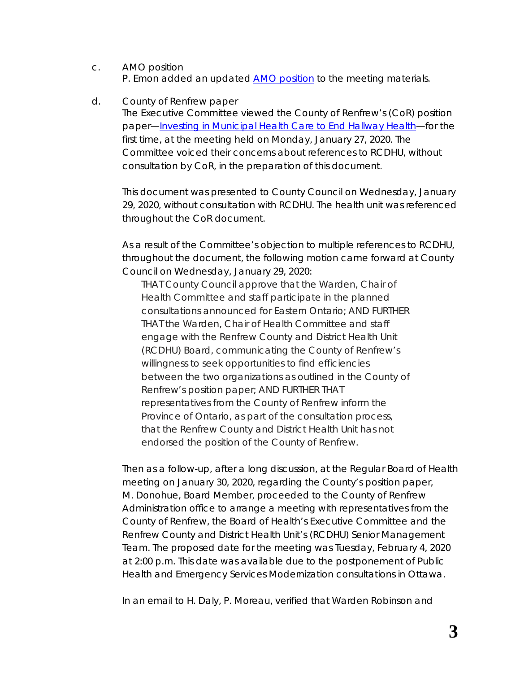- c. AMO position P. Emon added an updated **AMO** position to the meeting materials.
- d. County of Renfrew paper

The Executive Committee viewed the County of Renfrew's (CoR) position paper—*[Investing in Municipal Health Care](http://portal.rcdhu.com/board/wp-content/uploads/2020/01/Investing-in-Municipal-Health-Care-to-End-Hallway-Health-Care.pdf) to End Hallway Health*—for the first time, at the meeting held on Monday, January 27, 2020. The Committee voiced their concerns about references to RCDHU, without consultation by CoR, in the preparation of this document.

This document was presented to County Council on Wednesday, January 29, 2020, without consultation with RCDHU. The health unit was referenced throughout the CoR document.

As a result of the Committee's objection to multiple references to RCDHU, throughout the document, the following motion came forward at County Council on Wednesday, January 29, 2020:

*THAT County Council approve that the Warden, Chair of Health Committee and staff participate in the planned consultations announced for Eastern Ontario; AND FURTHER THAT the Warden, Chair of Health Committee and staff engage with the Renfrew County and District Health Unit (RCDHU) Board, communicating the County of Renfrew's willingness to seek opportunities to find efficiencies between the two organizations as outlined in the County of Renfrew's position paper; AND FURTHER THAT representatives from the County of Renfrew inform the Province of Ontario, as part of the consultation process, that the Renfrew County and District Health Unit has not endorsed the position of the County of Renfrew.*

Then as a follow-up, after a long discussion, at the Regular Board of Health meeting on January 30, 2020, regarding the County's position paper, M. Donohue, Board Member, proceeded to the County of Renfrew Administration office to arrange a meeting with representatives from the County of Renfrew, the Board of Health's Executive Committee and the Renfrew County and District Health Unit's (RCDHU) Senior Management Team. The proposed date for the meeting was Tuesday, February 4, 2020 at 2:00 p.m. This date was available due to the postponement of Public Health and Emergency Services Modernization consultations in Ottawa.

In an email to H. Daly, P. Moreau, verified that Warden Robinson and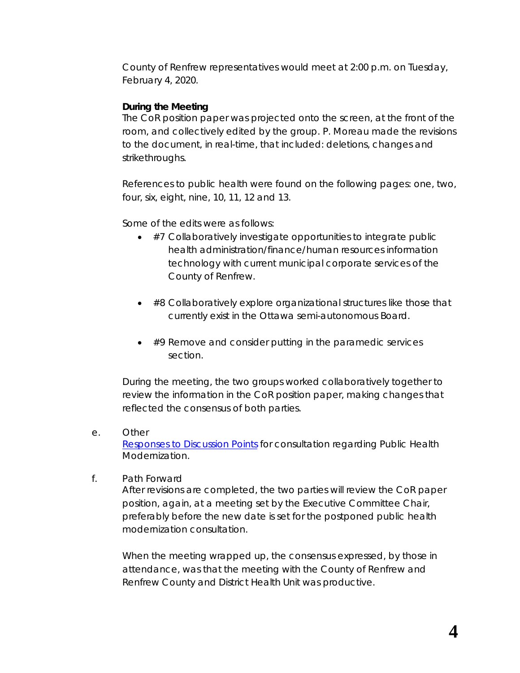County of Renfrew representatives would meet at 2:00 p.m. on Tuesday, February 4, 2020.

#### **During the Meeting**

The CoR position paper was projected onto the screen, at the front of the room, and collectively edited by the group. P. Moreau made the revisions to the document, in real-time, that included: deletions, changes and strikethroughs.

References to public health were found on the following pages: one, two, four, six, eight, nine, 10, 11, 12 and 13.

Some of the edits were as follows:

- #7 Collaboratively investigate opportunities to integrate public health administration/finance/human resources information technology with current municipal corporate services of the County of Renfrew.
- #8 Collaboratively explore organizational structures like those that currently exist in the Ottawa semi-autonomous Board.
- #9 Remove and consider putting in the paramedic services section.

During the meeting, the two groups worked collaboratively together to review the information in the CoR position paper, making changes that reflected the consensus of both parties.

e. Other

*[Responses to Discussion Points](http://portal.rcdhu.com/board/wp-content/uploads/2020/01/RCDHU-Responses-to-Discussion-Points-and-Questions-from-the-Public-Health-and-Emergency-Health-Services-Modernization-Presentations-2020-Jan-23.pdf)* for consultation regarding Public Health Modernization.

f. Path Forward

After revisions are completed, the two parties will review the CoR paper position, again, at a meeting set by the Executive Committee Chair, preferably before the new date is set for the postponed public health modernization consultation.

When the meeting wrapped up, the consensus expressed, by those in attendance, was that the meeting with the County of Renfrew and Renfrew County and District Health Unit was productive.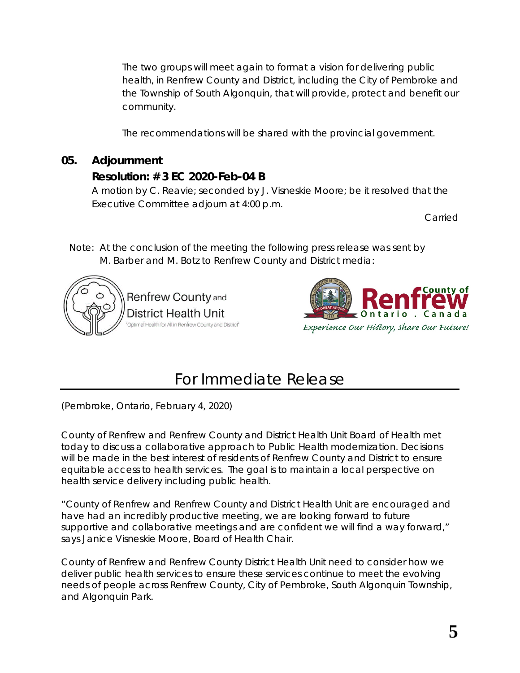The two groups will meet again to format a vision for delivering public health, in Renfrew County and District, including the City of Pembroke and the Township of South Algonquin, that will provide, protect and benefit our community.

The recommendations will be shared with the provincial government.

# **05. Adjournment**

# **Resolution: # 3 EC 2020-Feb-04 B**

A motion by C. Reavie; seconded by J. Visneskie Moore; be it resolved that the Executive Committee adjourn at 4:00 p.m.

Carried

Note: At the conclusion of the meeting the following press release was sent by M. Barber and M. Botz to Renfrew County and District media:





# For Immediate Release

(Pembroke, Ontario, February 4, 2020)

County of Renfrew and Renfrew County and District Health Unit Board of Health met today to discuss a collaborative approach to Public Health modernization. Decisions will be made in the best interest of residents of Renfrew County and District to ensure equitable access to health services. The goal is to maintain a local perspective on health service delivery including public health.

"County of Renfrew and Renfrew County and District Health Unit are encouraged and have had an incredibly productive meeting, we are looking forward to future supportive and collaborative meetings and are confident we will find a way forward," says Janice Visneskie Moore, Board of Health Chair.

County of Renfrew and Renfrew County District Health Unit need to consider how we deliver public health services to ensure these services continue to meet the evolving needs of people across Renfrew County, City of Pembroke, South Algonquin Township, and Algonquin Park.